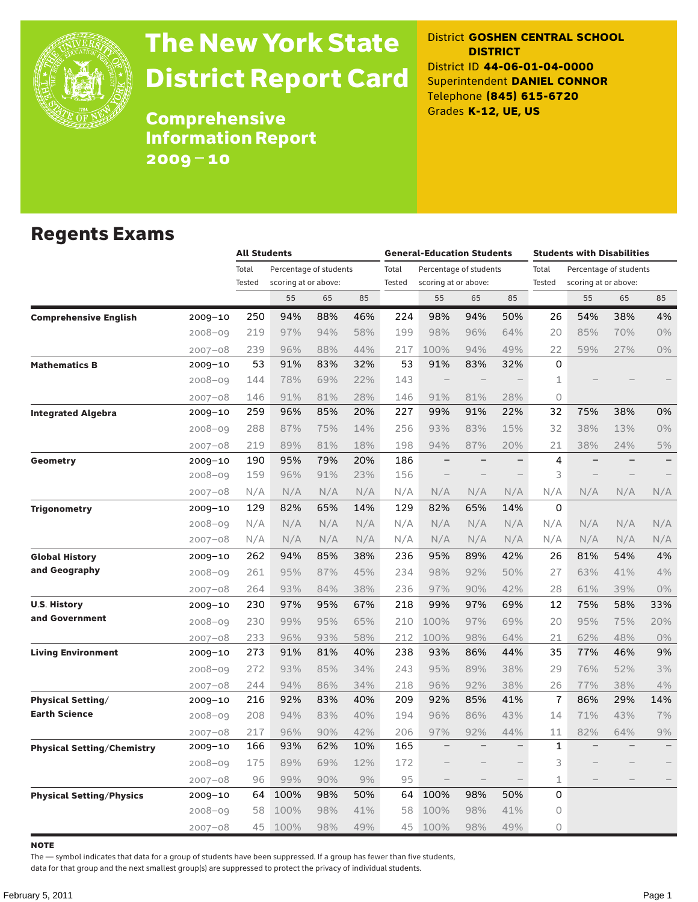

# The New York State District Report Card

District **GOSHEN CENTRAL SCHOOL DISTRICT** District ID **44-06-01-04-0000** Superintendent **DANIEL CONNOR** Telephone **(845) 615-6720** Grades **K-12, UE, US**

**Comprehensive** Information Report 2009–10

### Regents Exams

|                                 |             |        | <b>All Students</b>    |     |     |               | <b>General-Education Students</b> |                          |                          |             | <b>Students with Disabilities</b> |     |                   |  |
|---------------------------------|-------------|--------|------------------------|-----|-----|---------------|-----------------------------------|--------------------------|--------------------------|-------------|-----------------------------------|-----|-------------------|--|
|                                 |             | Total  | Percentage of students |     |     | Total         |                                   | Percentage of students   |                          | Total       | Percentage of students            |     |                   |  |
|                                 |             | Tested | scoring at or above:   |     |     | <b>Tested</b> | scoring at or above:              |                          |                          | Tested      | scoring at or above:              |     |                   |  |
|                                 |             |        | 55                     | 65  | 85  |               | 55                                | 65                       | 85                       |             | 55                                | 65  | 85                |  |
| <b>Comprehensive English</b>    | 2009-10     | 250    | 94%                    | 88% | 46% | 224           | 98%                               | 94%                      | 50%                      | 26          | 54%                               | 38% | 4%                |  |
|                                 | $2008 - 09$ | 219    | 97%                    | 94% | 58% | 199           | 98%                               | 96%                      | 64%                      | 20          | 85%                               | 70% | 0%                |  |
|                                 | $2007 - 08$ | 239    | 96%                    | 88% | 44% | 217           | 100%                              | 94%                      | 49%                      | 22          | 59%                               | 27% | $0\%$             |  |
| <b>Mathematics B</b>            | 2009-10     | 53     | 91%                    | 83% | 32% | 53            | 91%                               | 83%                      | 32%                      | 0           |                                   |     |                   |  |
|                                 | $2008 - 09$ | 144    | 78%                    | 69% | 22% | 143           | $\overline{\phantom{a}}$          |                          |                          | 1           |                                   |     |                   |  |
|                                 | $2007 - 08$ | 146    | 91%                    | 81% | 28% | 146           | 91%                               | 81%                      | 28%                      | 0           |                                   |     |                   |  |
| <b>Integrated Algebra</b>       | 2009-10     | 259    | 96%                    | 85% | 20% | 227           | 99%                               | 91%                      | 22%                      | 32          | 75%                               | 38% | 0%                |  |
|                                 | $2008 - 09$ | 288    | 87%                    | 75% | 14% | 256           | 93%                               | 83%                      | 15%                      | 32          | 38%                               | 13% | 0%                |  |
|                                 | $2007 - 08$ | 219    | 89%                    | 81% | 18% | 198           | 94%                               | 87%                      | 20%                      | 21          | 38%                               | 24% | 5%                |  |
| Geometry                        | $2009 - 10$ | 190    | 95%                    | 79% | 20% | 186           |                                   |                          |                          | 4           |                                   |     |                   |  |
|                                 | $2008 - 09$ | 159    | 96%                    | 91% | 23% | 156           |                                   |                          |                          | 3           |                                   |     |                   |  |
|                                 | $2007 - 08$ | N/A    | N/A                    | N/A | N/A | N/A           | N/A                               | N/A                      | N/A                      | N/A         | N/A                               | N/A | N/A               |  |
| <b>Trigonometry</b>             | $2009 - 10$ | 129    | 82%                    | 65% | 14% | 129           | 82%                               | 65%                      | 14%                      | 0           |                                   |     |                   |  |
|                                 | $2008 - 09$ | N/A    | N/A                    | N/A | N/A | N/A           | N/A                               | N/A                      | N/A                      | N/A         | N/A                               | N/A | N/A               |  |
|                                 | $2007 - 08$ | N/A    | N/A                    | N/A | N/A | N/A           | N/A                               | N/A                      | N/A                      | N/A         | N/A                               | N/A | N/A               |  |
| <b>Global History</b>           | 2009-10     | 262    | 94%                    | 85% | 38% | 236           | 95%                               | 89%                      | 42%                      | 26          | 81%                               | 54% | 4%                |  |
| and Geography                   | $2008 - 09$ | 261    | 95%                    | 87% | 45% | 234           | 98%                               | 92%                      | 50%                      | 27          | 63%                               | 41% | 4%                |  |
|                                 | $2007 - 08$ | 264    | 93%                    | 84% | 38% | 236           | 97%                               | 90%                      | 42%                      | 28          | 61%                               | 39% | $0\%$             |  |
| <b>U.S. History</b>             | 2009-10     | 230    | 97%                    | 95% | 67% | 218           | 99%                               | 97%                      | 69%                      | 12          | 75%                               | 58% | 33%               |  |
| and Government                  | $2008 - 09$ | 230    | 99%                    | 95% | 65% | 210           | 100%                              | 97%                      | 69%                      | 20          | 95%                               | 75% | 20%               |  |
|                                 | $2007 - 08$ | 233    | 96%                    | 93% | 58% | 212           | 100%                              | 98%                      | 64%                      | 21          | 62%                               | 48% | 0%                |  |
| <b>Living Environment</b>       | 2009-10     | 273    | 91%                    | 81% | 40% | 238           | 93%                               | 86%                      | 44%                      | 35          | 77%                               | 46% | 9%                |  |
|                                 | $2008 - 09$ | 272    | 93%                    | 85% | 34% | 243           | 95%                               | 89%                      | 38%                      | 29          | 76%                               | 52% | 3%                |  |
|                                 | $2007 - 08$ | 244    | 94%                    | 86% | 34% | 218           | 96%                               | 92%                      | 38%                      | 26          | 77%                               | 38% | 4%                |  |
| <b>Physical Setting/</b>        | 2009-10     | 216    | 92%                    | 83% | 40% | 209           | 92%                               | 85%                      | 41%                      | 7           | 86%                               | 29% | 14%               |  |
| <b>Earth Science</b>            | $2008 - 09$ | 208    | 94%                    | 83% | 40% | 194           | 96%                               | 86%                      | 43%                      | 14          | 71%                               | 43% | 7%                |  |
|                                 | $2007 - 08$ | 217    | 96%                    | 90% | 42% | 206           | 97%                               | 92%                      | 44%                      | 11          | 82%                               | 64% | 9%                |  |
| Physical Setting/Chemistry      | 2009-10     | 166    | 93%                    | 62% | 10% | 165           | $\qquad \qquad -$                 | $\overline{\phantom{0}}$ | $\overline{\phantom{0}}$ | 1           |                                   |     | $\qquad \qquad -$ |  |
|                                 | $2008 - 09$ | 175    | 89%                    | 69% | 12% | 172           |                                   |                          |                          | 3           |                                   |     |                   |  |
|                                 | $2007 - 08$ | 96     | 99%                    | 90% | 9%  | 95            |                                   |                          | $\qquad \qquad -$        | $\mathbf 1$ |                                   |     |                   |  |
| <b>Physical Setting/Physics</b> | 2009-10     | 64     | 100%                   | 98% | 50% | 64            | 100%                              | 98%                      | 50%                      | 0           |                                   |     |                   |  |
|                                 | $2008 - 09$ | 58     | 100%                   | 98% | 41% | 58            | 100%                              | 98%                      | 41%                      | 0           |                                   |     |                   |  |
|                                 | $2007 - 08$ | 45     | 100%                   | 98% | 49% | 45            | 100%                              | 98%                      | 49%                      | $\circ$     |                                   |     |                   |  |

**NOTE** 

The — symbol indicates that data for a group of students have been suppressed. If a group has fewer than five students,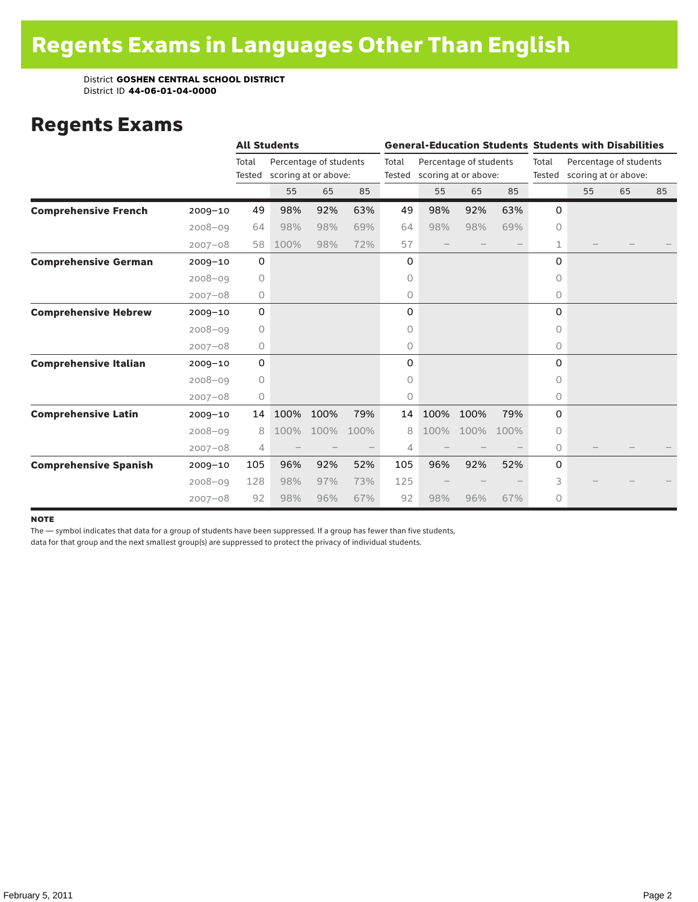### Regents Exams

|                              |             |                 | <b>All Students</b> |                                                |      |       |                             |                        |      | <b>General-Education Students Students with Disabilities</b> |                                                |    |    |  |
|------------------------------|-------------|-----------------|---------------------|------------------------------------------------|------|-------|-----------------------------|------------------------|------|--------------------------------------------------------------|------------------------------------------------|----|----|--|
|                              |             | Total<br>Tested |                     | Percentage of students<br>scoring at or above: |      | Total | Tested scoring at or above: | Percentage of students |      | Total<br>Tested                                              | Percentage of students<br>scoring at or above: |    |    |  |
|                              |             |                 | 55                  | 65                                             | 85   |       | 55                          | 65                     | 85   |                                                              | 55                                             | 65 | 85 |  |
| <b>Comprehensive French</b>  | $2009 - 10$ | 49              | 98%                 | 92%                                            | 63%  | 49    | 98%                         | 92%                    | 63%  | 0                                                            |                                                |    |    |  |
|                              | $2008 - 09$ | 64              | 98%                 | 98%                                            | 69%  | 64    | 98%                         | 98%                    | 69%  | $\Omega$                                                     |                                                |    |    |  |
|                              | $2007 - 08$ | 58              | 100%                | 98%                                            | 72%  | 57    |                             |                        |      | 1                                                            |                                                |    |    |  |
| <b>Comprehensive German</b>  | $2009 - 10$ | 0               |                     |                                                |      | 0     |                             |                        |      | 0                                                            |                                                |    |    |  |
|                              | $2008 - 09$ | 0               |                     |                                                |      | 0     |                             |                        |      | 0                                                            |                                                |    |    |  |
|                              | $2007 - 08$ | 0               |                     |                                                |      | 0     |                             |                        |      | 0                                                            |                                                |    |    |  |
| <b>Comprehensive Hebrew</b>  | $2009 - 10$ | 0               |                     |                                                |      | 0     |                             |                        |      | 0                                                            |                                                |    |    |  |
|                              | $2008 - 09$ | 0               |                     |                                                |      | 0     |                             |                        |      | $\Omega$                                                     |                                                |    |    |  |
|                              | $2007 - 08$ | 0               |                     |                                                |      | 0     |                             |                        |      | 0                                                            |                                                |    |    |  |
| <b>Comprehensive Italian</b> | $2009 - 10$ | 0               |                     |                                                |      | 0     |                             |                        |      | 0                                                            |                                                |    |    |  |
|                              | $2008 - 09$ | 0               |                     |                                                |      | 0     |                             |                        |      | $\Omega$                                                     |                                                |    |    |  |
|                              | $2007 - 08$ | 0               |                     |                                                |      | 0     |                             |                        |      | 0                                                            |                                                |    |    |  |
| <b>Comprehensive Latin</b>   | $2009 - 10$ | 14              | 100%                | 100%                                           | 79%  | 14    | 100%                        | 100%                   | 79%  | 0                                                            |                                                |    |    |  |
|                              | $2008 - 09$ | 8               | 100%                | 100%                                           | 100% | 8     | 100%                        | 100%                   | 100% | 0                                                            |                                                |    |    |  |
|                              | $2007 - 08$ | 4               |                     |                                                |      | 4     |                             |                        |      | 0                                                            |                                                |    |    |  |
| <b>Comprehensive Spanish</b> | $2009 - 10$ | 105             | 96%                 | 92%                                            | 52%  | 105   | 96%                         | 92%                    | 52%  | 0                                                            |                                                |    |    |  |
|                              | $2008 - 09$ | 128             | 98%                 | 97%                                            | 73%  | 125   |                             |                        |      | 3                                                            |                                                |    |    |  |
|                              | $2007 - 08$ | 92              | 98%                 | 96%                                            | 67%  | 92    | 98%                         | 96%                    | 67%  | 0                                                            |                                                |    |    |  |

#### **NOTE**

The — symbol indicates that data for a group of students have been suppressed. If a group has fewer than five students,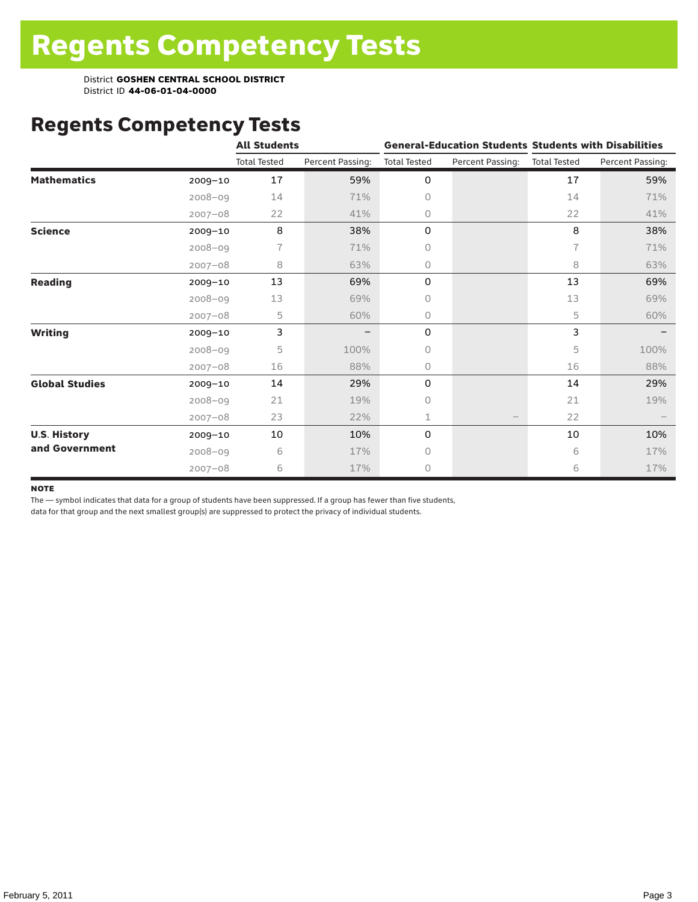## Regents Competency Tests

|                       |             | <b>All Students</b> |                  |                     |                  | <b>General-Education Students Students with Disabilities</b> |                  |  |  |
|-----------------------|-------------|---------------------|------------------|---------------------|------------------|--------------------------------------------------------------|------------------|--|--|
|                       |             | <b>Total Tested</b> | Percent Passing: | <b>Total Tested</b> | Percent Passing: | <b>Total Tested</b>                                          | Percent Passing: |  |  |
| <b>Mathematics</b>    | $2009 - 10$ | 17                  | 59%              | 0                   |                  | 17                                                           | 59%              |  |  |
|                       | $2008 - 09$ | 14                  | 71%              | 0                   |                  | 14                                                           | 71%              |  |  |
|                       | $2007 - 08$ | 22                  | 41%              | 0                   |                  | 22                                                           | 41%              |  |  |
| <b>Science</b>        | $2009 - 10$ | 8                   | 38%              | 0                   |                  | 8                                                            | 38%              |  |  |
|                       | $2008 - 09$ | 7                   | 71%              | 0                   |                  | 7                                                            | 71%              |  |  |
|                       | $2007 - 08$ | 8                   | 63%              | 0                   |                  | 8                                                            | 63%              |  |  |
| <b>Reading</b>        | 2009-10     | 13                  | 69%              | 0                   |                  | 13                                                           | 69%              |  |  |
|                       | $2008 - 09$ | 13                  | 69%              | 0                   |                  | 13                                                           | 69%              |  |  |
|                       | $2007 - 08$ | 5                   | 60%              | 0                   |                  | 5                                                            | 60%              |  |  |
| <b>Writing</b>        | $2009 - 10$ | 3                   |                  | 0                   |                  | 3                                                            |                  |  |  |
|                       | $2008 - 09$ | 5                   | 100%             | 0                   |                  | 5                                                            | 100%             |  |  |
|                       | $2007 - 08$ | 16                  | 88%              | 0                   |                  | 16                                                           | 88%              |  |  |
| <b>Global Studies</b> | $2009 - 10$ | 14                  | 29%              | 0                   |                  | 14                                                           | 29%              |  |  |
|                       | $2008 - 09$ | 21                  | 19%              | 0                   |                  | 21                                                           | 19%              |  |  |
|                       | $2007 - 08$ | 23                  | 22%              | 1                   |                  | 22                                                           |                  |  |  |
| <b>U.S. History</b>   | 2009-10     | 10                  | 10%              | 0                   |                  | 10                                                           | 10%              |  |  |
| and Government        | $2008 - 09$ | 6                   | 17%              | 0                   |                  | 6                                                            | 17%              |  |  |
|                       | $2007 - 08$ | 6                   | 17%              | 0                   |                  | 6                                                            | 17%              |  |  |

#### **NOTE**

The — symbol indicates that data for a group of students have been suppressed. If a group has fewer than five students,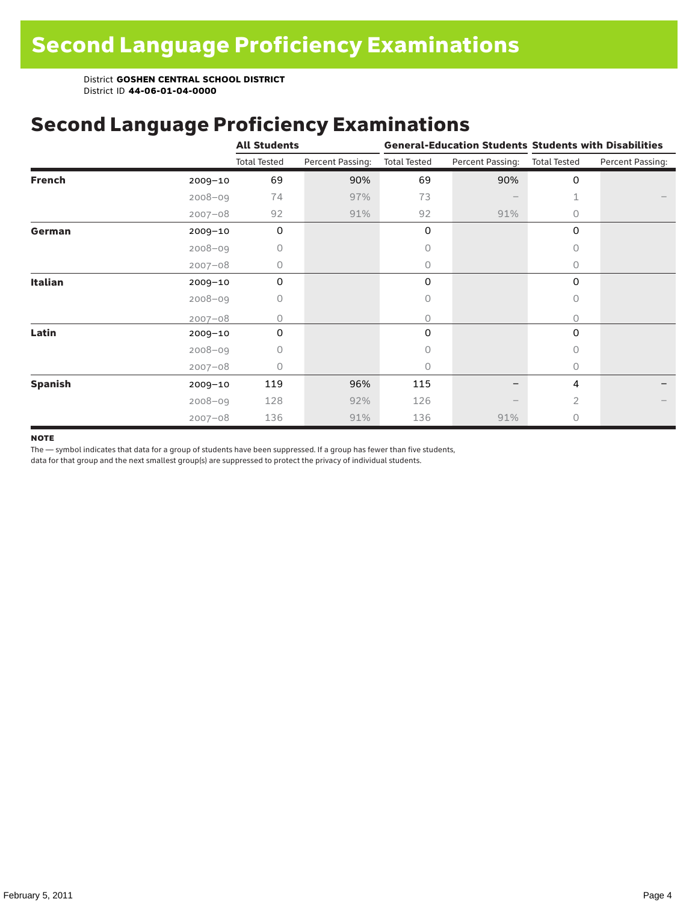## Second Language Proficiency Examinations

|                |             | <b>All Students</b> |                  |                     |                  | <b>General-Education Students Students with Disabilities</b> |                  |  |  |
|----------------|-------------|---------------------|------------------|---------------------|------------------|--------------------------------------------------------------|------------------|--|--|
|                |             | <b>Total Tested</b> | Percent Passing: | <b>Total Tested</b> | Percent Passing: | <b>Total Tested</b>                                          | Percent Passing: |  |  |
| <b>French</b>  | $2009 - 10$ | 69                  | 90%              | 69                  | 90%              | $\mathbf 0$                                                  |                  |  |  |
|                | $2008 - 09$ | 74                  | 97%              | 73                  |                  | 1                                                            |                  |  |  |
|                | $2007 - 08$ | 92                  | 91%              | 92                  | 91%              | 0                                                            |                  |  |  |
| German         | 2009-10     | $\mathbf 0$         |                  | 0                   |                  | 0                                                            |                  |  |  |
|                | $2008 - 09$ | 0                   |                  | 0                   |                  | 0                                                            |                  |  |  |
|                | $2007 - 08$ | 0                   |                  | 0                   |                  | $\circ$                                                      |                  |  |  |
| Italian        | $2009 - 10$ | 0                   |                  | 0                   |                  | 0                                                            |                  |  |  |
|                | $2008 - 09$ | 0                   |                  | 0                   |                  | 0                                                            |                  |  |  |
|                | $2007 - 08$ | 0                   |                  | 0                   |                  | 0                                                            |                  |  |  |
| Latin          | 2009-10     | 0                   |                  | 0                   |                  | 0                                                            |                  |  |  |
|                | $2008 - 09$ | 0                   |                  | 0                   |                  | 0                                                            |                  |  |  |
|                | $2007 - 08$ | 0                   |                  | 0                   |                  | 0                                                            |                  |  |  |
| <b>Spanish</b> | $2009 - 10$ | 119                 | 96%              | 115                 |                  | 4                                                            |                  |  |  |
|                | $2008 - 09$ | 128                 | 92%              | 126                 |                  | $\overline{2}$                                               |                  |  |  |
|                | $2007 - 08$ | 136                 | 91%              | 136                 | 91%              | 0                                                            |                  |  |  |

#### **NOTE**

The — symbol indicates that data for a group of students have been suppressed. If a group has fewer than five students,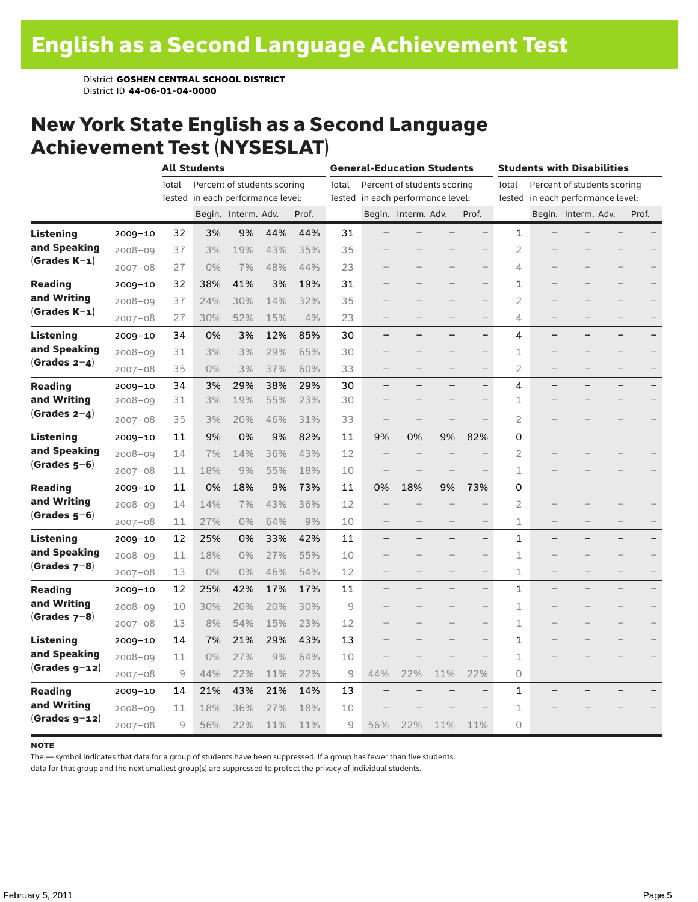### New York State English as a Second Language Achievement Test (NYSESLAT)

|                  |             | <b>All Students</b> |                                   |                             |     |       | <b>General-Education Students</b> |                                   |                             |     | <b>Students with Disabilities</b> |                |  |                                   |  |       |
|------------------|-------------|---------------------|-----------------------------------|-----------------------------|-----|-------|-----------------------------------|-----------------------------------|-----------------------------|-----|-----------------------------------|----------------|--|-----------------------------------|--|-------|
|                  |             | Total               |                                   | Percent of students scoring |     |       | Total                             |                                   | Percent of students scoring |     |                                   | Total          |  | Percent of students scoring       |  |       |
|                  |             |                     | Tested in each performance level: |                             |     |       |                                   | Tested in each performance level: |                             |     |                                   |                |  | Tested in each performance level: |  |       |
|                  |             |                     |                                   | Begin. Interm. Adv.         |     | Prof. |                                   |                                   | Begin. Interm. Adv.         |     | Prof.                             |                |  | Begin. Interm. Adv.               |  | Prof. |
| <b>Listening</b> | $2009 - 10$ | 32                  | 3%                                | 9%                          | 44% | 44%   | 31                                |                                   |                             |     | $\overline{\phantom{0}}$          | 1              |  |                                   |  |       |
| and Speaking     | $2008 - 09$ | 37                  | 3%                                | 19%                         | 43% | 35%   | 35                                |                                   |                             |     |                                   | $\overline{2}$ |  |                                   |  |       |
| (Grades K-1)     | $2007 - 08$ | 27                  | 0%                                | 7%                          | 48% | 44%   | 23                                |                                   |                             |     | $\qquad \qquad -$                 | 4              |  |                                   |  |       |
| <b>Reading</b>   | $2009 - 10$ | 32                  | 38%                               | 41%                         | 3%  | 19%   | 31                                |                                   |                             |     | $\qquad \qquad -$                 | 1              |  |                                   |  |       |
| and Writing      | $2008 - 09$ | 37                  | 24%                               | 30%                         | 14% | 32%   | 35                                |                                   |                             |     | $\overline{\phantom{0}}$          | $\overline{2}$ |  |                                   |  |       |
| $(Grades K-1)$   | $2007 - 08$ | 27                  | 30%                               | 52%                         | 15% | 4%    | 23                                |                                   |                             |     | $\qquad \qquad -$                 | 4              |  |                                   |  |       |
| <b>Listening</b> | $2009 - 10$ | 34                  | 0%                                | 3%                          | 12% | 85%   | 30                                |                                   |                             |     | $\overline{\phantom{0}}$          | 4              |  |                                   |  |       |
| and Speaking     | $2008 - 09$ | 31                  | 3%                                | 3%                          | 29% | 65%   | 30                                |                                   |                             |     |                                   | 1              |  |                                   |  |       |
| $(Grades 2-4)$   | $2007 - 08$ | 35                  | $0\%$                             | 3%                          | 37% | 60%   | 33                                |                                   |                             |     | $\qquad \qquad -$                 | $\overline{2}$ |  |                                   |  |       |
| <b>Reading</b>   | $2009 - 10$ | 34                  | 3%                                | 29%                         | 38% | 29%   | 30                                |                                   |                             |     | —                                 | 4              |  |                                   |  |       |
| and Writing      | $2008 - 09$ | 31                  | 3%                                | 19%                         | 55% | 23%   | 30                                |                                   |                             |     |                                   | $\mathbf{1}$   |  |                                   |  |       |
| $(Grades 2-4)$   | $2007 - 08$ | 35                  | 3%                                | 20%                         | 46% | 31%   | 33                                |                                   |                             |     |                                   | $\overline{2}$ |  |                                   |  |       |
| <b>Listening</b> | $2009 - 10$ | 11                  | 9%                                | 0%                          | 9%  | 82%   | 11                                | 9%                                | 0%                          | 9%  | 82%                               | 0              |  |                                   |  |       |
| and Speaking     | $2008 - 09$ | 14                  | 7%                                | 14%                         | 36% | 43%   | 12                                |                                   |                             |     |                                   | $\overline{2}$ |  |                                   |  |       |
| $(Grades 5-6)$   | $2007 - 08$ | 11                  | 18%                               | 9%                          | 55% | 18%   | 10                                |                                   |                             |     |                                   | $\mathbf 1$    |  |                                   |  |       |
| <b>Reading</b>   | $2009 - 10$ | 11                  | 0%                                | 18%                         | 9%  | 73%   | 11                                | 0%                                | 18%                         | 9%  | 73%                               | 0              |  |                                   |  |       |
| and Writing      | $2008 - 09$ | 14                  | 14%                               | 7%                          | 43% | 36%   | 12                                |                                   |                             |     |                                   | $\overline{2}$ |  |                                   |  |       |
| (Grades 5–6)     | $2007 - 08$ | 11                  | 27%                               | 0%                          | 64% | 9%    | 10                                |                                   |                             |     |                                   | 1              |  |                                   |  |       |
| <b>Listening</b> | $2009 - 10$ | 12                  | 25%                               | 0%                          | 33% | 42%   | 11                                |                                   |                             |     | $\overline{\phantom{0}}$          | 1              |  |                                   |  |       |
| and Speaking     | $2008 - 09$ | 11                  | 18%                               | 0%                          | 27% | 55%   | 10                                |                                   |                             |     |                                   | $1\,$          |  |                                   |  |       |
| (Grades $7-8$ )  | $2007 - 08$ | 13                  | $0\%$                             | 0%                          | 46% | 54%   | 12                                |                                   |                             |     | $\qquad \qquad -$                 | 1              |  |                                   |  |       |
| <b>Reading</b>   | $2009 - 10$ | 12                  | 25%                               | 42%                         | 17% | 17%   | 11                                |                                   |                             |     | $\overline{\phantom{0}}$          | $\mathbf{1}$   |  |                                   |  |       |
| and Writing      | $2008 - 09$ | 10                  | 30%                               | 20%                         | 20% | 30%   | 9                                 |                                   |                             |     |                                   | 1              |  |                                   |  |       |
| $(Grades 7-8)$   | $2007 - 08$ | 13                  | 8%                                | 54%                         | 15% | 23%   | 12                                |                                   |                             |     |                                   | 1              |  |                                   |  |       |
| Listening        | $2009 - 10$ | 14                  | 7%                                | 21%                         | 29% | 43%   | 13                                |                                   |                             |     | $\qquad \qquad -$                 | 1              |  |                                   |  |       |
| and Speaking     | $2008 - 09$ | 11                  | 0%                                | 27%                         | 9%  | 64%   | 10                                |                                   |                             |     |                                   | $1\,$          |  |                                   |  |       |
| $(Grades g-12)$  | $2007 - 08$ | 9                   | 44%                               | 22%                         | 11% | 22%   | 9                                 | 44%                               | 22%                         | 11% | 22%                               | $\circ$        |  |                                   |  |       |
| <b>Reading</b>   | $2009 - 10$ | 14                  | 21%                               | 43%                         | 21% | 14%   | 13                                |                                   |                             |     |                                   | 1              |  |                                   |  |       |
| and Writing      | $2008 - 09$ | 11                  | 18%                               | 36%                         | 27% | 18%   | 10                                |                                   |                             |     |                                   | 1              |  |                                   |  |       |
| $(Grades g-12)$  | $2007 - 08$ | 9                   | 56%                               | 22%                         | 11% | 11%   | 9                                 | 56%                               | 22%                         | 11% | 11%                               | 0              |  |                                   |  |       |

#### **NOTE**

The — symbol indicates that data for a group of students have been suppressed. If a group has fewer than five students,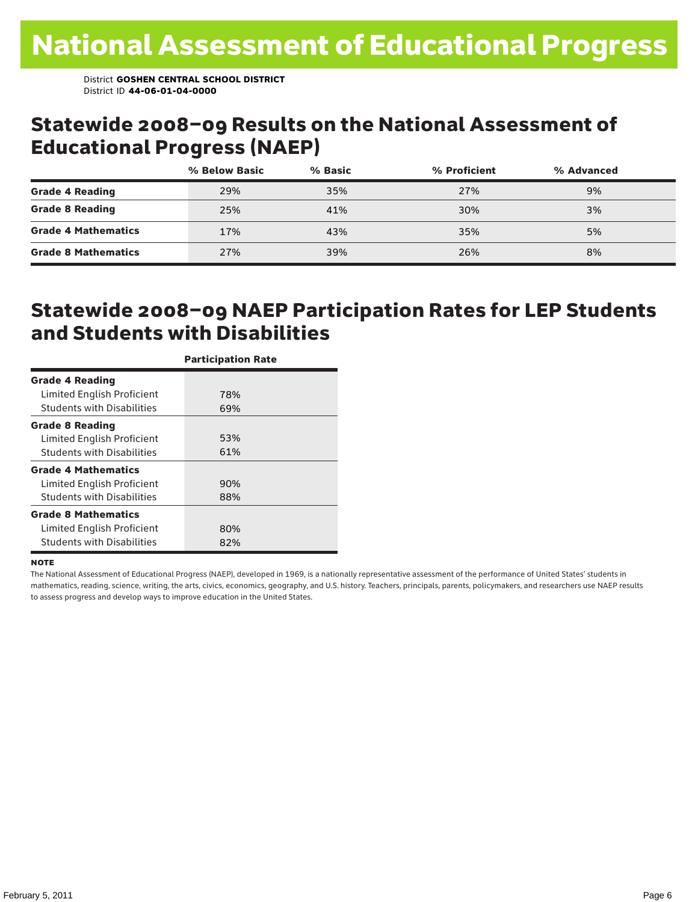### Statewide 2008–09 Results on the National Assessment of Educational Progress (NAEP)

|                            | % Below Basic | % Basic | % Proficient | % Advanced |  |
|----------------------------|---------------|---------|--------------|------------|--|
| <b>Grade 4 Reading</b>     | 29%           | 35%     | 27%          | 9%         |  |
| <b>Grade 8 Reading</b>     | 25%           | 41%     | 30%          | 3%         |  |
| <b>Grade 4 Mathematics</b> | 17%           | 43%     | 35%          | 5%         |  |
| <b>Grade 8 Mathematics</b> | 27%           | 39%     | 26%          | 8%         |  |

### Statewide 2008–09 NAEP Participation Rates for LEP Students and Students with Disabilities

|                                   | <b>Participation Rate</b> |
|-----------------------------------|---------------------------|
| <b>Grade 4 Reading</b>            |                           |
| Limited English Proficient        | 78%                       |
| <b>Students with Disabilities</b> | 69%                       |
| <b>Grade 8 Reading</b>            |                           |
| Limited English Proficient        | 53%                       |
| <b>Students with Disabilities</b> | 61%                       |
| <b>Grade 4 Mathematics</b>        |                           |
| Limited English Proficient        | 90%                       |
| <b>Students with Disabilities</b> | 88%                       |
| <b>Grade 8 Mathematics</b>        |                           |
| Limited English Proficient        | 80%                       |
| <b>Students with Disabilities</b> | 82%                       |

#### **NOTE**

The National Assessment of Educational Progress (NAEP), developed in 1969, is a nationally representative assessment of the performance of United States' students in mathematics, reading, science, writing, the arts, civics, economics, geography, and U.S. history. Teachers, principals, parents, policymakers, and researchers use NAEP results to assess progress and develop ways to improve education in the United States.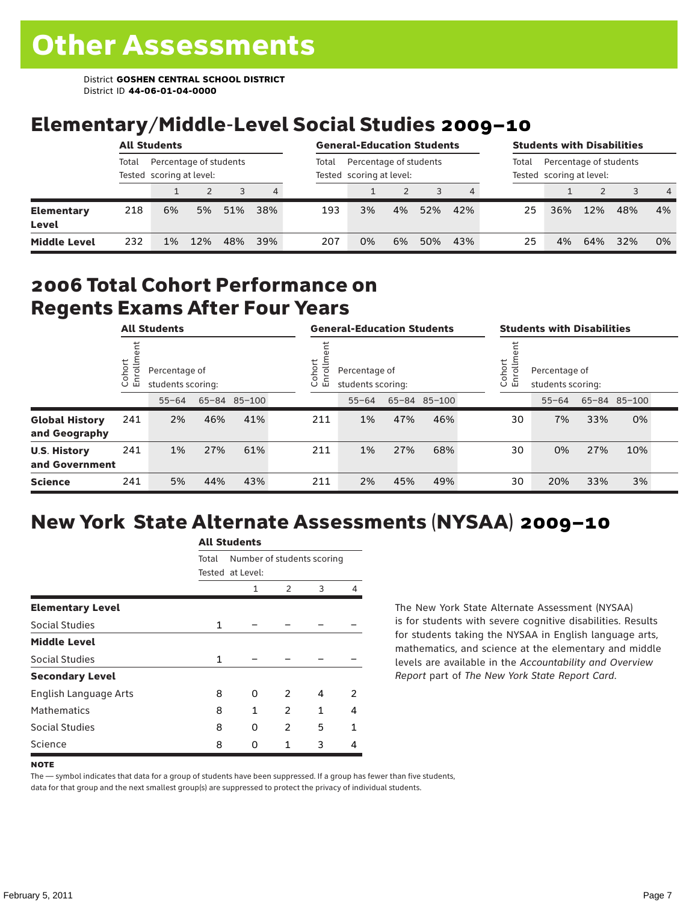## Elementary/Middle-Level Social Studies 2009–10

|                            | <b>All Students</b> |                                                    |     |     |     | <b>General-Education Students</b> |                                                    |    |     |     |       | <b>Students with Disabilities</b>                  |     |     |                |  |  |  |
|----------------------------|---------------------|----------------------------------------------------|-----|-----|-----|-----------------------------------|----------------------------------------------------|----|-----|-----|-------|----------------------------------------------------|-----|-----|----------------|--|--|--|
|                            | Total               | Percentage of students<br>Tested scoring at level: |     |     |     | Total                             | Percentage of students<br>Tested scoring at level: |    |     |     | Total | Percentage of students<br>Tested scoring at level: |     |     |                |  |  |  |
|                            |                     |                                                    |     | 3   | 4   |                                   |                                                    |    |     |     |       |                                                    |     |     | $\overline{4}$ |  |  |  |
| <b>Elementary</b><br>Level | 218                 | 6%                                                 | 5%  | 51% | 38% | 193                               | 3%                                                 | 4% | 52% | 42% | 25    | 36%                                                | 12% | 48% | 4%             |  |  |  |
| <b>Middle Level</b>        | 232                 | 1%                                                 | 12% | 48% | 39% | 207                               | 0%                                                 | 6% | 50% | 43% | 25    | 4%                                                 | 64% | 32% | 0%             |  |  |  |

### 2006 Total Cohort Performance on Regents Exams After Four Years

|                                        | <b>All Students</b>     |                                                    |     |     |  | <b>General-Education Students</b> |                                    |     |              |  | <b>Students with Disabilities</b>                      |           |     |              |  |  |
|----------------------------------------|-------------------------|----------------------------------------------------|-----|-----|--|-----------------------------------|------------------------------------|-----|--------------|--|--------------------------------------------------------|-----------|-----|--------------|--|--|
|                                        | Cohort<br>$\circ$<br>「四 | Percentage of<br>students scoring:<br>65-84 85-100 |     |     |  | Cohort<br>ō<br>띧                  | Percentage of<br>students scoring: |     |              |  | Cohort<br>Percentage of<br>S<br>문<br>students scoring: |           |     |              |  |  |
|                                        |                         | $55 - 64$                                          |     |     |  |                                   | $55 - 64$                          |     | 65-84 85-100 |  |                                                        | $55 - 64$ |     | 65-84 85-100 |  |  |
| <b>Global History</b><br>and Geography | 241                     | 2%                                                 | 46% | 41% |  | 211                               | 1%                                 | 47% | 46%          |  | 30                                                     | 7%        | 33% | 0%           |  |  |
| <b>U.S. History</b><br>and Government  | 241                     | 1%                                                 | 27% | 61% |  | 211                               | 1%                                 | 27% | 68%          |  | 30                                                     | 0%        | 27% | 10%          |  |  |
| <b>Science</b>                         | 241                     | 5%                                                 | 44% | 43% |  | 211                               | 2%                                 | 45% | 49%          |  | 30                                                     | 20%       | 33% | 3%           |  |  |

## New York State Alternate Assessments (NYSAA) 2009–10

| Total |   | Number of students scoring        |   |   |  |  |  |  |  |
|-------|---|-----------------------------------|---|---|--|--|--|--|--|
|       | 1 | 2                                 | 3 | 4 |  |  |  |  |  |
|       |   |                                   |   |   |  |  |  |  |  |
| 1     |   |                                   |   |   |  |  |  |  |  |
|       |   |                                   |   |   |  |  |  |  |  |
| 1     |   |                                   |   |   |  |  |  |  |  |
|       |   |                                   |   |   |  |  |  |  |  |
| 8     | 0 | $\mathcal{P}$                     | 4 | 2 |  |  |  |  |  |
| 8     | 1 | 2                                 | 1 | 4 |  |  |  |  |  |
| 8     | 0 | $\overline{2}$                    | 5 | 1 |  |  |  |  |  |
| 8     | U | 1                                 | 3 | 4 |  |  |  |  |  |
|       |   | AIL SLUUTIILS<br>Tested at Level: |   |   |  |  |  |  |  |

All C<sub>tude</sub>

The New York State Alternate Assessment (NYSAA) is for students with severe cognitive disabilities. Results for students taking the NYSAA in English language arts, mathematics, and science at the elementary and middle levels are available in the *Accountability and Overview Report* part of *The New York State Report Card*.

#### **NOTE**

The — symbol indicates that data for a group of students have been suppressed. If a group has fewer than five students, data for that group and the next smallest group(s) are suppressed to protect the privacy of individual students.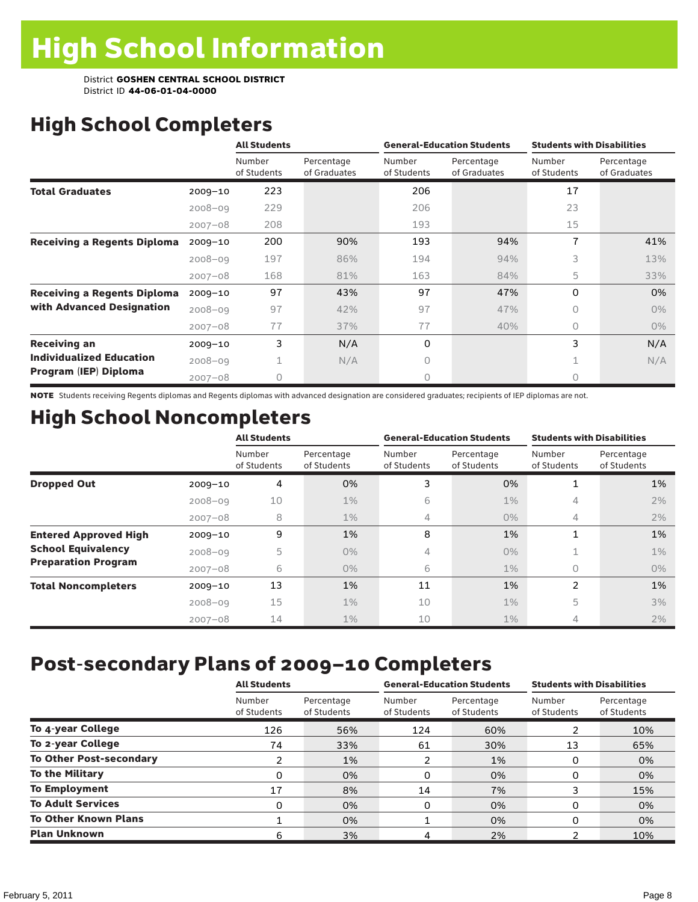## High School Completers

|                                    |             | <b>All Students</b>   |                            |                       | <b>General-Education Students</b> | <b>Students with Disabilities</b> |                            |  |
|------------------------------------|-------------|-----------------------|----------------------------|-----------------------|-----------------------------------|-----------------------------------|----------------------------|--|
|                                    |             | Number<br>of Students | Percentage<br>of Graduates | Number<br>of Students | Percentage<br>of Graduates        | Number<br>of Students             | Percentage<br>of Graduates |  |
| <b>Total Graduates</b>             | $2009 - 10$ | 223                   |                            | 206                   |                                   | 17                                |                            |  |
|                                    | $2008 - 09$ | 229                   |                            | 206                   |                                   | 23                                |                            |  |
|                                    | $2007 - 08$ | 208                   |                            | 193                   |                                   | 15                                |                            |  |
| <b>Receiving a Regents Diploma</b> | $2009 - 10$ | 200                   | 90%                        | 193                   | 94%                               | 7                                 | 41%                        |  |
|                                    | $2008 - 09$ | 197                   | 86%                        | 194                   | 94%                               | 3                                 | 13%                        |  |
|                                    | $2007 - 08$ | 168                   | 81%                        | 163                   | 84%                               | 5                                 | 33%                        |  |
| <b>Receiving a Regents Diploma</b> | $2009 - 10$ | 97                    | 43%                        | 97                    | 47%                               | $\Omega$                          | 0%                         |  |
| with Advanced Designation          | $2008 - 09$ | 97                    | 42%                        | 97                    | 47%                               | $\circ$                           | $0\%$                      |  |
|                                    | $2007 - 08$ | 77                    | 37%                        | 77                    | 40%                               | 0                                 | $0\%$                      |  |
| <b>Receiving an</b>                | $2009 - 10$ | 3                     | N/A                        | 0                     |                                   | 3                                 | N/A                        |  |
| <b>Individualized Education</b>    | $2008 - 09$ | 1                     | N/A                        | $\Omega$              |                                   | 1                                 | N/A                        |  |
| Program (IEP) Diploma              | $2007 - 08$ | 0                     |                            | 0                     |                                   | 0                                 |                            |  |

NOTE Students receiving Regents diplomas and Regents diplomas with advanced designation are considered graduates; recipients of IEP diplomas are not.

## High School Noncompleters

|                              |             | <b>All Students</b>   |                           |                       | <b>General-Education Students</b> | <b>Students with Disabilities</b> |                           |  |  |
|------------------------------|-------------|-----------------------|---------------------------|-----------------------|-----------------------------------|-----------------------------------|---------------------------|--|--|
|                              |             | Number<br>of Students | Percentage<br>of Students | Number<br>of Students | Percentage<br>of Students         | Number<br>of Students             | Percentage<br>of Students |  |  |
| <b>Dropped Out</b>           | $2009 - 10$ | 4                     | 0%                        | 3                     | 0%                                | 1                                 | 1%                        |  |  |
|                              | $2008 - 09$ | 10                    | $1\%$                     | 6                     | $1\%$                             | 4                                 | 2%                        |  |  |
|                              | $2007 - 08$ | 8                     | $1\%$                     | 4                     | $0\%$                             | 4                                 | 2%                        |  |  |
| <b>Entered Approved High</b> | $2009 - 10$ | 9                     | 1%                        | 8                     | 1%                                | 1                                 | 1%                        |  |  |
| <b>School Equivalency</b>    | $2008 - 09$ | 5                     | $0\%$                     | 4                     | $0\%$                             | Ŧ.                                | $1\%$                     |  |  |
| <b>Preparation Program</b>   | $2007 - 08$ | 6                     | $0\%$                     | 6                     | $1\%$                             | $\bigcap$                         | $0\%$                     |  |  |
| <b>Total Noncompleters</b>   | $2009 - 10$ | 13                    | 1%                        | 11                    | 1%                                | 2                                 | 1%                        |  |  |
|                              | $2008 - 09$ | 15                    | $1\%$                     | 10                    | $1\%$                             | 5                                 | 3%                        |  |  |
|                              | $2007 - 08$ | 14                    | $1\%$                     | 10                    | $1\%$                             | 4                                 | 2%                        |  |  |

## Post-secondary Plans of 2009–10 Completers

|                                | <b>All Students</b>   |                           | <b>General-Education Students</b> |                           | <b>Students with Disabilities</b> |                           |
|--------------------------------|-----------------------|---------------------------|-----------------------------------|---------------------------|-----------------------------------|---------------------------|
|                                | Number<br>of Students | Percentage<br>of Students | Number<br>of Students             | Percentage<br>of Students | Number<br>of Students             | Percentage<br>of Students |
| To 4-year College              | 126                   | 56%                       | 124                               | 60%                       |                                   | 10%                       |
| To 2-year College              | 74                    | 33%                       | 61                                | 30%                       | 13                                | 65%                       |
| <b>To Other Post-secondary</b> |                       | 1%                        | 2                                 | 1%                        | 0                                 | 0%                        |
| <b>To the Military</b>         | 0                     | 0%                        | 0                                 | 0%                        | 0                                 | 0%                        |
| <b>To Employment</b>           | 17                    | 8%                        | 14                                | 7%                        |                                   | 15%                       |
| <b>To Adult Services</b>       | 0                     | 0%                        | 0                                 | 0%                        | O                                 | 0%                        |
| <b>To Other Known Plans</b>    |                       | 0%                        |                                   | 0%                        | 0                                 | 0%                        |
| <b>Plan Unknown</b>            | 6                     | 3%                        | 4                                 | 2%                        |                                   | 10%                       |